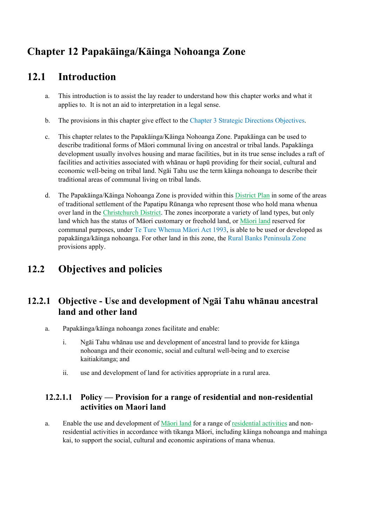# **Chapter 12 Papakāinga/Kāinga Nohoanga Zone**

# **12.1 Introduction**

- a. This introduction is to assist the lay reader to understand how this chapter works and what it applies to. It is not an aid to interpretation in a legal sense.
- b. The provisions in this chapter give effect to the Chapter 3 Strategic Directions Objectives.
- c. This chapter relates to the Papakāinga/Kāinga Nohoanga Zone. Papakāinga can be used to describe traditional forms of Māori communal living on ancestral or tribal lands. Papakāinga development usually involves housing and marae facilities, but in its true sense includes a raft of facilities and activities associated with whānau or hapū providing for their social, cultural and economic well-being on tribal land. Ngāi Tahu use the term kāinga nohoanga to describe their traditional areas of communal living on tribal lands.
- d. The Papakāinga/Kāinga Nohoanga Zone is provided within this District Plan in some of the areas of traditional settlement of the Papatipu Rūnanga who represent those who hold mana whenua over land in the Christchurch District. The zones incorporate a variety of land types, but only land which has the status of Māori customary or freehold land, or Māori land reserved for communal purposes, under Te Ture Whenua Māori Act 1993, is able to be used or developed as papakāinga/kāinga nohoanga. For other land in this zone, the Rural Banks Peninsula Zone provisions apply.

# **12.2 Objectives and policies**

## **12.2.1 Objective - Use and development of Ngāi Tahu whānau ancestral land and other land**

- a. Papakāinga/kāinga nohoanga zones facilitate and enable:
	- i. Ngāi Tahu whānau use and development of ancestral land to provide for kāinga nohoanga and their economic, social and cultural well-being and to exercise kaitiakitanga; and
	- ii. use and development of land for activities appropriate in a rural area.

### **12.2.1.1 Policy — Provision for a range of residential and non-residential activities on Maori land**

a. Enable the use and development of Māori land for a range of residential activities and nonresidential activities in accordance with tikanga Māori, including kāinga nohoanga and mahinga kai, to support the social, cultural and economic aspirations of mana whenua.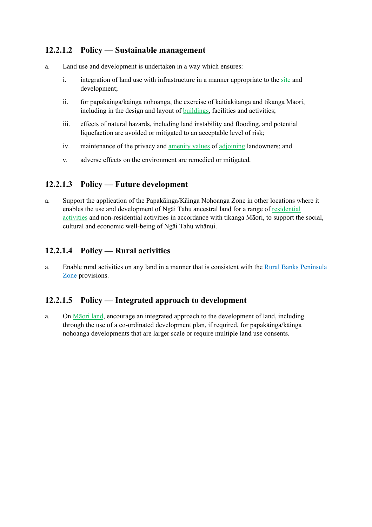### **12.2.1.2 Policy — Sustainable management**

- a. Land use and development is undertaken in a way which ensures:
	- i. integration of land use with infrastructure in a manner appropriate to the site and development;
	- ii. for papakāinga/kāinga nohoanga, the exercise of kaitiakitanga and tikanga Māori, including in the design and layout of buildings, facilities and activities;
	- iii. effects of natural hazards, including land instability and flooding, and potential liquefaction are avoided or mitigated to an acceptable level of risk;
	- iv. maintenance of the privacy and amenity values of adjoining landowners; and
	- v. adverse effects on the environment are remedied or mitigated*.*

### **12.2.1.3 Policy — Future development**

a. Support the application of the Papakāinga/Kāinga Nohoanga Zone in other locations where it enables the use and development of Ngāi Tahu ancestral land for a range of residential activities and non-residential activities in accordance with tikanga Māori, to support the social, cultural and economic well-being of Ngāi Tahu whānui.

### **12.2.1.4 Policy — Rural activities**

a. Enable rural activities on any land in a manner that is consistent with the Rural Banks Peninsula Zone provisions.

### **12.2.1.5 Policy — Integrated approach to development**

a. On Māori land, encourage an integrated approach to the development of land, including through the use of a co-ordinated development plan, if required, for papakāinga/kāinga nohoanga developments that are larger scale or require multiple land use consents.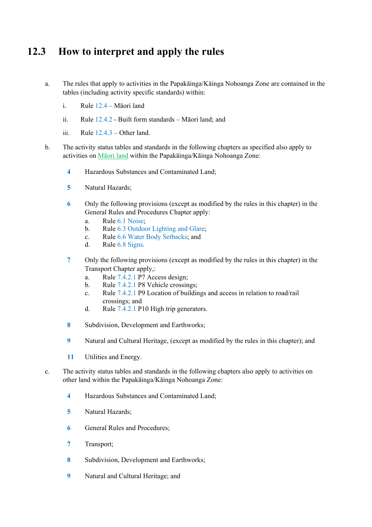# **12.3 How to interpret and apply the rules**

- a. The rules that apply to activities in the Papakāinga/Kāinga Nohoanga Zone are contained in the tables (including activity specific standards) within:
	- i. Rule 12.4 Māori land
	- ii. Rule 12.4.2 Built form standards Māori land; and
	- iii. Rule  $12.4.3$  Other land.
- b. The activity status tables and standards in the following chapters as specified also apply to activities on Māori land within the Papakāinga/Kāinga Nohoanga Zone:
	- **4** Hazardous Substances and Contaminated Land;
	- **5** Natural Hazards;
	- **6** Only the following provisions (except as modified by the rules in this chapter) in the General Rules and Procedures Chapter apply:
		- a. Rule 6.1 Noise;
		- b. Rule 6.3 Outdoor Lighting and Glare;
		- c. Rule 6.6 Water Body Setbacks; and
		- d. Rule 6.8 Signs.
	- **7** Only the following provisions (except as modified by the rules in this chapter) in the Transport Chapter apply,:
		- a. Rule 7.4.2.1 P7 Access design;
		- b. Rule 7.4.2.1 P8 Vehicle crossings;
		- c. Rule 7.4.2.1 P9 Location of buildings and access in relation to road/rail crossings; and
		- d. Rule 7.4.2.1 P10 High trip generators.
	- **8** Subdivision, Development and Earthworks;
	- **9** Natural and Cultural Heritage, (except as modified by the rules in this chapter); and
	- **11** Utilities and Energy.
- c. The activity status tables and standards in the following chapters also apply to activities on other land within the Papakāinga/Kāinga Nohoanga Zone:
	- **4** Hazardous Substances and Contaminated Land;
	- **5** Natural Hazards;
	- **6** General Rules and Procedures;
	- **7** Transport;
	- **8** Subdivision, Development and Earthworks;
	- **9** Natural and Cultural Heritage; and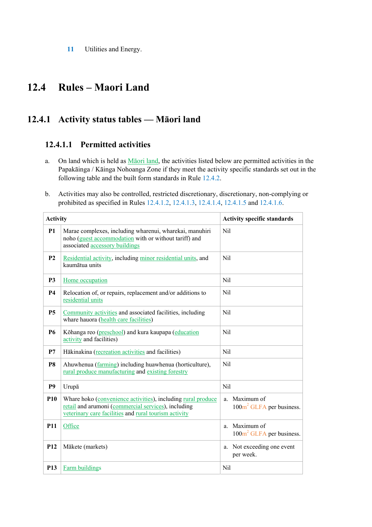**11** Utilities and Energy.

# **12.4 Rules – Maori Land**

# **12.4.1 Activity status tables — Māori land**

### **12.4.1.1 Permitted activities**

- a. On land which is held as Māori land, the activities listed below are permitted activities in the Papakāinga / Kāinga Nohoanga Zone if they meet the activity specific standards set out in the following table and the built form standards in Rule 12.4.2.
- b. Activities may also be controlled, restricted discretionary, discretionary, non-complying or prohibited as specified in Rules 12.4.1.2, 12.4.1.3, 12.4.1.4, 12.4.1.5 and 12.4.1.6.

| <b>Activity</b> |                                                                                                                                                                              | <b>Activity specific standards</b>                       |
|-----------------|------------------------------------------------------------------------------------------------------------------------------------------------------------------------------|----------------------------------------------------------|
| <b>P1</b>       | Marae complexes, including wharenui, wharekai, manuhiri<br>noho (guest accommodation with or without tariff) and<br>associated accessory buildings                           | Nil                                                      |
| P <sub>2</sub>  | Residential activity, including minor residential units, and<br>kaumātua units                                                                                               | Nil                                                      |
| P <sub>3</sub>  | Home occupation                                                                                                                                                              | Nil                                                      |
| <b>P4</b>       | Relocation of, or repairs, replacement and/or additions to<br>residential units                                                                                              | Nil                                                      |
| <b>P5</b>       | Community activities and associated facilities, including<br>whare hauora (health care facilities)                                                                           | Nil                                                      |
| <b>P6</b>       | Kōhanga reo (preschool) and kura kaupapa (education<br>activity and facilities)                                                                                              | Nil                                                      |
| P7              | Hākinakina (recreation activities and facilities)                                                                                                                            | Nil                                                      |
| P <sub>8</sub>  | Ahuwhenua (farming) including huawhenua (horticulture),<br>rural produce manufacturing and existing forestry                                                                 | Nil                                                      |
| P <sub>9</sub>  | Urupā                                                                                                                                                                        | Nil                                                      |
| P <sub>10</sub> | Whare hoko (convenience activities), including rural produce<br>retail and arumoni (commercial services), including<br>veterinary care facilities and rural tourism activity | a. Maximum of<br>$100m^2$ GLFA per business.             |
| <b>P11</b>      | Office                                                                                                                                                                       | Maximum of<br>a.<br>100m <sup>2</sup> GLFA per business. |
| P <sub>12</sub> | Mākete (markets)                                                                                                                                                             | a. Not exceeding one event<br>per week.                  |
| P <sub>13</sub> | <b>Farm buildings</b>                                                                                                                                                        | Nil                                                      |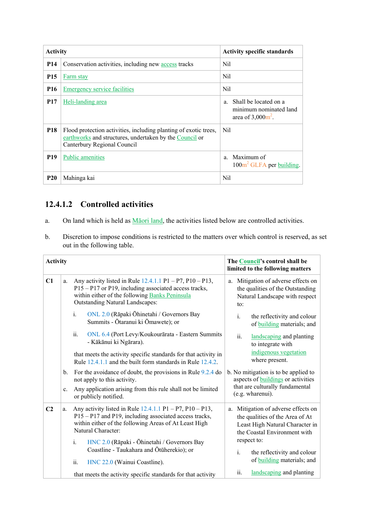| <b>Activity</b> |                                                                                                                                                            | <b>Activity specific standards</b>                                                                |
|-----------------|------------------------------------------------------------------------------------------------------------------------------------------------------------|---------------------------------------------------------------------------------------------------|
| <b>P14</b>      | Conservation activities, including new access tracks                                                                                                       | Nil                                                                                               |
| <b>P15</b>      | Farm stay                                                                                                                                                  | Nil                                                                                               |
| <b>P16</b>      | <b>Emergency service facilities</b>                                                                                                                        | Nil                                                                                               |
| <b>P17</b>      | <u>Heli-landing</u> area                                                                                                                                   | Shall be located on a<br>$\mathbf{a}$<br>minimum nominated land<br>area of $3,000$ $\text{m}^2$ . |
| <b>P18</b>      | Flood protection activities, including planting of exotic trees,<br>earthworks and structures, undertaken by the Council or<br>Canterbury Regional Council | Nil                                                                                               |
| <b>P19</b>      | <b>Public amenities</b>                                                                                                                                    | a Maximum of<br>100m <sup>2</sup> GLFA per building.                                              |
| <b>P20</b>      | Mahinga kai                                                                                                                                                | Nil                                                                                               |

## **12.4.1.2 Controlled activities**

- a. On land which is held as Māori land, the activities listed below are controlled activities.
- b. Discretion to impose conditions is restricted to the matters over which control is reserved, as set out in the following table.

| <b>Activity</b> |                |                                                                                                                                                                                                                 | The Council's control shall be<br>limited to the following matters                                                                           |  |
|-----------------|----------------|-----------------------------------------------------------------------------------------------------------------------------------------------------------------------------------------------------------------|----------------------------------------------------------------------------------------------------------------------------------------------|--|
| C1              | a.             | Any activity listed in Rule $12.4.1.1$ P1 – P7, P10 – P13,<br>P15 - P17 or P19, including associated access tracks,<br>within either of the following Banks Peninsula<br><b>Outstanding Natural Landscapes:</b> | Mitigation of adverse effects on<br>a.<br>the qualities of the Outstanding<br>Natural Landscape with respect<br>to:                          |  |
|                 |                | ONL 2.0 (Rāpaki Ōhinetahi / Governors Bay<br>$\mathbf{i}$ .<br>Summits - Ōtaranui ki Ōmawete); or                                                                                                               | i.<br>the reflectivity and colour<br>of building materials; and                                                                              |  |
|                 |                | ii.<br>ONL 6.4 (Port Levy/Koukourārata - Eastern Summits<br>- Kākānui ki Ngārara).                                                                                                                              | ii.<br>landscaping and planting<br>to integrate with                                                                                         |  |
|                 |                | that meets the activity specific standards for that activity in<br>Rule 12.4.1.1 and the built form standards in Rule 12.4.2.                                                                                   | indigenous vegetation<br>where present.                                                                                                      |  |
|                 | b.             | For the avoidance of doubt, the provisions in Rule $9.2.4$ do<br>not apply to this activity.                                                                                                                    | b. No mitigation is to be applied to<br>aspects of <b>buildings</b> or activities                                                            |  |
|                 | $\mathbf{c}$ . | Any application arising from this rule shall not be limited<br>or publicly notified.                                                                                                                            | that are culturally fundamental<br>(e.g. wharenui).                                                                                          |  |
| C <sub>2</sub>  | a.             | Any activity listed in Rule $12.4.1.1$ P1 – P7, P10 – P13,<br>P15 - P17 and P19, including associated access tracks,<br>within either of the following Areas of At Least High<br>Natural Character:             | Mitigation of adverse effects on<br>a.<br>the qualities of the Area of At<br>Least High Natural Character in<br>the Coastal Environment with |  |
|                 |                | HNC 2.0 (Rāpaki - Ōhinetahi / Governors Bay<br>$\mathbf{i}$ .<br>Coastline - Taukahara and Ōtūherekio); or                                                                                                      | respect to:<br>i.<br>the reflectivity and colour                                                                                             |  |
|                 |                | ii.<br>HNC 22.0 (Wainui Coastline).                                                                                                                                                                             | of <b>building</b> materials; and                                                                                                            |  |
|                 |                | that meets the activity specific standards for that activity                                                                                                                                                    | landscaping and planting<br>ii.                                                                                                              |  |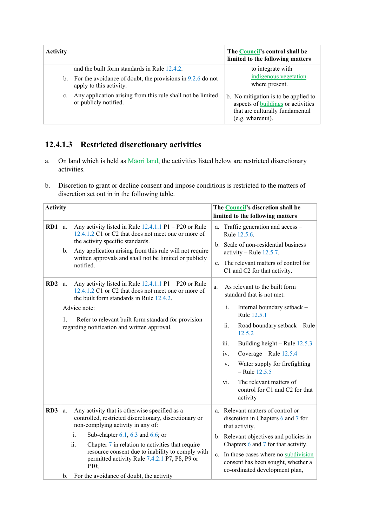| <b>Activity</b> |    |                                                                                         | The Council's control shall be<br>limited to the following matters                                                                |
|-----------------|----|-----------------------------------------------------------------------------------------|-----------------------------------------------------------------------------------------------------------------------------------|
|                 |    | and the built form standards in Rule 12.4.2.                                            | to integrate with                                                                                                                 |
|                 | b. | For the avoidance of doubt, the provisions in $9.2.6$ do not<br>apply to this activity. | indigenous vegetation<br>where present.                                                                                           |
|                 | c. | Any application arising from this rule shall not be limited<br>or publicly notified.    | b. No mitigation is to be applied to<br>aspects of buildings or activities<br>that are culturally fundamental<br>(e.g. wharenui). |

# **12.4.1.3 Restricted discretionary activities**

- a. On land which is held as **Maori land**, the activities listed below are restricted discretionary activities.
- b. Discretion to grant or decline consent and impose conditions is restricted to the matters of discretion set out in in the following table.

| <b>Activity</b> |                                                                                                                                                                                                                                                                                                                                                                                                                                   | The Council's discretion shall be<br>limited to the following matters                                                                                                                                                                                                                                                                                                                     |
|-----------------|-----------------------------------------------------------------------------------------------------------------------------------------------------------------------------------------------------------------------------------------------------------------------------------------------------------------------------------------------------------------------------------------------------------------------------------|-------------------------------------------------------------------------------------------------------------------------------------------------------------------------------------------------------------------------------------------------------------------------------------------------------------------------------------------------------------------------------------------|
| RD1             | Any activity listed in Rule $12.4.1.1$ P1 – P20 or Rule<br>a.<br>12.4.1.2 C1 or C2 that does not meet one or more of<br>the activity specific standards.<br>Any application arising from this rule will not require<br>b.<br>written approvals and shall not be limited or publicly<br>notified.                                                                                                                                  | Traffic generation and access –<br>a.<br>Rule 12.5.6.<br>b. Scale of non-residential business<br>activity – Rule $12.5.7$ .<br>The relevant matters of control for<br>$\mathbf{c}$ .<br>C1 and C2 for that activity.                                                                                                                                                                      |
| RD2             | Any activity listed in Rule $12.4.1.1$ P1 – P20 or Rule<br>a.<br>12.4.1.2 C1 or C2 that does not meet one or more of<br>the built form standards in Rule 12.4.2.<br>Advice note:<br>1.<br>Refer to relevant built form standard for provision<br>regarding notification and written approval.                                                                                                                                     | As relevant to the built form<br>a.<br>standard that is not met:<br>i.<br>Internal boundary setback -<br>Rule 12.5.1<br>ii.<br>Road boundary setback - Rule<br>12.5.2<br>iii.<br>Building height – Rule 12.5.3<br>Coverage – Rule 12.5.4<br>iv.<br>Water supply for firefighting<br>V.<br>$-$ Rule 12.5.5<br>The relevant matters of<br>vi.<br>control for C1 and C2 for that<br>activity |
| RD3             | Any activity that is otherwise specified as a<br>a.<br>controlled, restricted discretionary, discretionary or<br>non-complying activity in any of:<br>i.<br>Sub-chapter $6.1$ , $6.3$ and $6.6$ ; or<br>Chapter 7 in relation to activities that require<br>ii.<br>resource consent due to inability to comply with<br>permitted activity Rule 7.4.2.1 P7, P8, P9 or<br>$P10$ ;<br>For the avoidance of doubt, the activity<br>b. | a. Relevant matters of control or<br>discretion in Chapters 6 and 7 for<br>that activity.<br>b. Relevant objectives and policies in<br>Chapters 6 and 7 for that activity.<br>c. In those cases where no subdivision<br>consent has been sought, whether a<br>co-ordinated development plan,                                                                                              |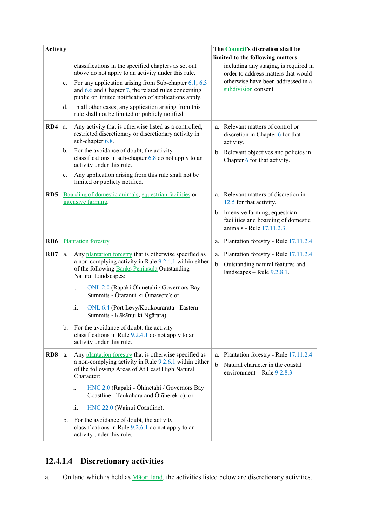| <b>Activity</b> |    |                                                                                                                                                                                                | The Council's discretion shall be                                                                                  |
|-----------------|----|------------------------------------------------------------------------------------------------------------------------------------------------------------------------------------------------|--------------------------------------------------------------------------------------------------------------------|
|                 |    |                                                                                                                                                                                                | limited to the following matters                                                                                   |
|                 |    | classifications in the specified chapters as set out<br>above do not apply to an activity under this rule.                                                                                     | including any staging, is required in<br>order to address matters that would                                       |
|                 | c. | For any application arising from Sub-chapter $6.1, 6.3$<br>and 6.6 and Chapter 7, the related rules concerning<br>public or limited notification of applications apply.                        | otherwise have been addressed in a<br>subdivision consent.                                                         |
|                 | d. | In all other cases, any application arising from this<br>rule shall not be limited or publicly notified                                                                                        |                                                                                                                    |
| RD4             | a. | Any activity that is otherwise listed as a controlled,<br>restricted discretionary or discretionary activity in<br>sub-chapter 6.8.                                                            | a. Relevant matters of control or<br>discretion in Chapter 6 for that<br>activity.                                 |
|                 | b. | For the avoidance of doubt, the activity<br>classifications in sub-chapter $6.8$ do not apply to an<br>activity under this rule.                                                               | b. Relevant objectives and policies in<br>Chapter 6 for that activity.                                             |
|                 | c. | Any application arising from this rule shall not be<br>limited or publicly notified.                                                                                                           |                                                                                                                    |
| RD <sub>5</sub> |    | Boarding of domestic animals, equestrian facilities or<br>intensive farming.                                                                                                                   | a. Relevant matters of discretion in<br>12.5 for that activity.                                                    |
|                 |    |                                                                                                                                                                                                | b. Intensive farming, equestrian<br>facilities and boarding of domestic<br>animals - Rule 17.11.2.3.               |
| RD <sub>6</sub> |    | <b>Plantation forestry</b>                                                                                                                                                                     | a. Plantation forestry - Rule 17.11.2.4.                                                                           |
| RD7             | a. | Any plantation forestry that is otherwise specified as<br>a non-complying activity in Rule 9.2.4.1 within either<br>of the following <b>Banks Peninsula</b> Outstanding<br>Natural Landscapes: | a. Plantation forestry - Rule 17.11.2.4.<br>b. Outstanding natural features and<br>landscapes $-$ Rule $9.2.8.1$ . |
|                 |    | i.<br>ONL 2.0 (Rāpaki Ōhinetahi / Governors Bay<br>Summits - Ōtaranui ki Ōmawete); or                                                                                                          |                                                                                                                    |
|                 |    | ii.<br>ONL 6.4 (Port Levy/Koukourārata - Eastern<br>Summits - Kākānui ki Ngārara).                                                                                                             |                                                                                                                    |
|                 | b. | For the avoidance of doubt, the activity<br>classifications in Rule 9.2.4.1 do not apply to an<br>activity under this rule.                                                                    |                                                                                                                    |
| RD <sub>8</sub> | a. | Any plantation forestry that is otherwise specified as<br>a non-complying activity in Rule 9.2.6.1 within either<br>of the following Areas of At Least High Natural<br>Character:              | a. Plantation forestry - Rule 17.11.2.4.<br>b. Natural character in the coastal<br>environment – Rule $9.2.8.3$ .  |
|                 |    | HNC 2.0 (Rāpaki - Ōhinetahi / Governors Bay<br>i.<br>Coastline - Taukahara and Ōtūherekio); or                                                                                                 |                                                                                                                    |
|                 |    | HNC 22.0 (Wainui Coastline).<br>ii.                                                                                                                                                            |                                                                                                                    |
|                 | b. | For the avoidance of doubt, the activity<br>classifications in Rule 9.2.6.1 do not apply to an<br>activity under this rule.                                                                    |                                                                                                                    |

# **12.4.1.4 Discretionary activities**

a. On land which is held as **Maori land**, the activities listed below are discretionary activities.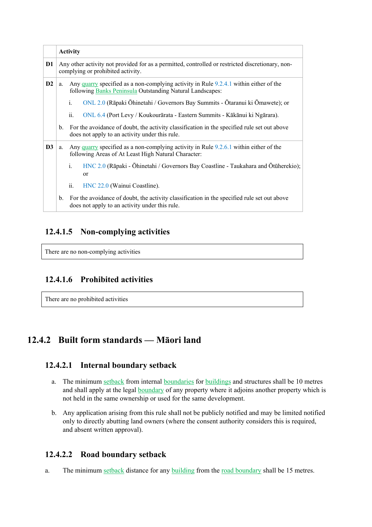|                |                                                                                                                                       | <b>Activity</b>                                                                                                                                    |  |
|----------------|---------------------------------------------------------------------------------------------------------------------------------------|----------------------------------------------------------------------------------------------------------------------------------------------------|--|
| D <sub>1</sub> | Any other activity not provided for as a permitted, controlled or restricted discretionary, non-<br>complying or prohibited activity. |                                                                                                                                                    |  |
| D2             | a.                                                                                                                                    | Any quarry specified as a non-complying activity in Rule 9.2.4.1 within either of the<br>following Banks Peninsula Outstanding Natural Landscapes: |  |
|                |                                                                                                                                       | $\mathbf{i}$ .<br>ONL 2.0 (Rāpaki Ōhinetahi / Governors Bay Summits - Ōtaranui ki Ōmawete); or                                                     |  |
|                |                                                                                                                                       | ii.<br>ONL 6.4 (Port Levy / Koukourārata - Eastern Summits - Kākānui ki Ngārara).                                                                  |  |
|                | $\mathbf{b}$ .                                                                                                                        | For the avoidance of doubt, the activity classification in the specified rule set out above<br>does not apply to an activity under this rule.      |  |
| D <sub>3</sub> | a.                                                                                                                                    | Any quarry specified as a non-complying activity in Rule 9.2.6.1 within either of the<br>following Areas of At Least High Natural Character:       |  |
|                |                                                                                                                                       | $i$ .<br>HNC 2.0 (Rāpaki - Ōhinetahi / Governors Bay Coastline - Taukahara and Otūherekio);<br><sub>or</sub>                                       |  |
|                |                                                                                                                                       | ii.<br>HNC 22.0 (Wainui Coastline).                                                                                                                |  |
|                |                                                                                                                                       | b. For the avoidance of doubt, the activity classification in the specified rule set out above<br>does not apply to an activity under this rule.   |  |

### **12.4.1.5 Non-complying activities**

There are no non-complying activities

### **12.4.1.6 Prohibited activities**

There are no prohibited activities

# **12.4.2 Built form standards — Māori land**

#### **12.4.2.1 Internal boundary setback**

- a. The minimum setback from internal boundaries for buildings and structures shall be 10 metres and shall apply at the legal boundary of any property where it adjoins another property which is not held in the same ownership or used for the same development.
- b. Any application arising from this rule shall not be publicly notified and may be limited notified only to directly abutting land owners (where the consent authority considers this is required, and absent written approval).

### **12.4.2.2 Road boundary setback**

a. The minimum setback distance for any building from the road boundary shall be 15 metres.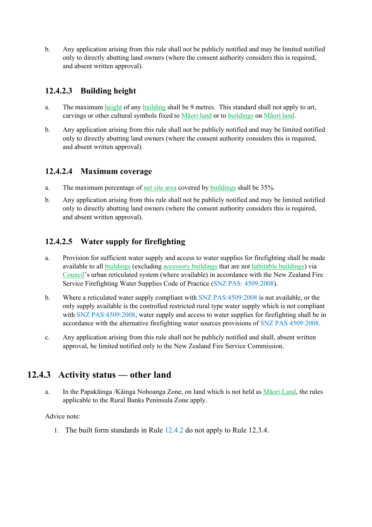b. Any application arising from this rule shall not be publicly notified and may be limited notified only to directly abutting land owners (where the consent authority considers this is required, and absent written approval).

## **12.4.2.3 Building height**

- a. The maximum height of any building shall be 9 metres. This standard shall not apply to art, carvings or other cultural symbols fixed to Māori land or to buildings on Māori land.
- b. Any application arising from this rule shall not be publicly notified and may be limited notified only to directly abutting land owners (where the consent authority considers this is required, and absent written approval).

### **12.4.2.4 Maximum coverage**

- a. The maximum percentage of net site area covered by buildings shall be 35%.
- b. Any application arising from this rule shall not be publicly notified and may be limited notified only to directly abutting land owners (where the consent authority considers this is required, and absent written approval).

### **12.4.2.5 Water supply for firefighting**

- a. Provision for sufficient water supply and access to water supplies for firefighting shall be made available to all buildings (excluding accessory buildings that are not habitable buildings) via Council's urban reticulated system (where available) in accordance with the New Zealand Fire Service Firefighting Water Supplies Code of Practice (SNZ PAS: 4509:2008).
- b. Where a reticulated water supply compliant with SNZ PAS:4509:2008 is not available, or the only supply available is the controlled restricted rural type water supply which is not compliant with SNZ PAS:4509:2008, water supply and access to water supplies for firefighting shall be in accordance with the alternative firefighting water sources provisions of SNZ PAS 4509:2008.
- c. Any application arising from this rule shall not be publicly notified and shall, absent written approval, be limited notified only to the New Zealand Fire Service Commission.

## **12.4.3 Activity status — other land**

a. In the Papakāinga /Kāinga Nohoanga Zone, on land which is not held as Māori Land, the rules applicable to the Rural Banks Peninsula Zone apply.

Advice note:

1. The built form standards in Rule 12.4.2 do not apply to Rule 12.3.4.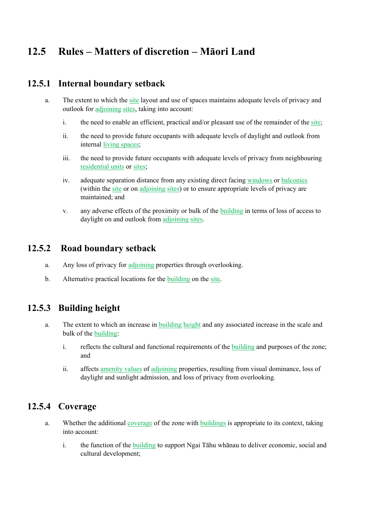# **12.5 Rules – Matters of discretion – Māori Land**

### **12.5.1 Internal boundary setback**

- a. The extent to which the site layout and use of spaces maintains adequate levels of privacy and outlook for adjoining sites, taking into account:
	- i. the need to enable an efficient, practical and/or pleasant use of the remainder of the site;
	- ii. the need to provide future occupants with adequate levels of daylight and outlook from internal living spaces;
	- iii. the need to provide future occupants with adequate levels of privacy from neighbouring residential units or sites;
	- iv. adequate separation distance from any existing direct facing windows or balconies (within the site or on adjoining sites) or to ensure appropriate levels of privacy are maintained; and
	- v. any adverse effects of the proximity or bulk of the building in terms of loss of access to daylight on and outlook from adjoining sites.

### **12.5.2 Road boundary setback**

- a. Any loss of privacy for adjoining properties through overlooking.
- b. Alternative practical locations for the building on the site.

### **12.5.3 Building height**

- a. The extent to which an increase in building height and any associated increase in the scale and bulk of the building:
	- i. reflects the cultural and functional requirements of the building and purposes of the zone; and
	- ii. affects amenity values of adjoining properties, resulting from visual dominance, loss of daylight and sunlight admission, and loss of privacy from overlooking.

## **12.5.4 Coverage**

- a. Whether the additional coverage of the zone with buildings is appropriate to its context, taking into account:
	- i. the function of the building to support Ngai Tāhu whānau to deliver economic, social and cultural development;